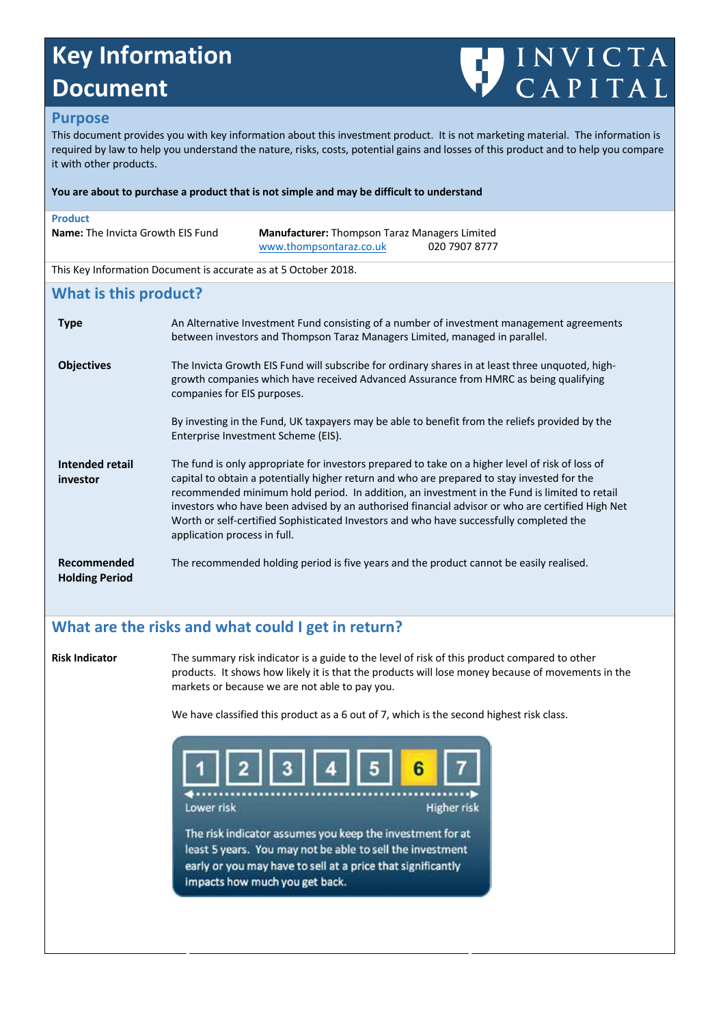# **Key Information Key Information Document Document**



### **Purpose**

it with other products.

This document provides you with key information about this investment product. It is not marketing material. The information is required by law to help you understand the nature, risks, costs, potential gains and losses of this product and to help you compare it with other products.

|                                                                                                                                                                                                                                                                                                                                                                                                                                                                                                                                | You are about to purchase a product that is not simple and may be difficult to understand                                             |  |
|--------------------------------------------------------------------------------------------------------------------------------------------------------------------------------------------------------------------------------------------------------------------------------------------------------------------------------------------------------------------------------------------------------------------------------------------------------------------------------------------------------------------------------|---------------------------------------------------------------------------------------------------------------------------------------|--|
|                                                                                                                                                                                                                                                                                                                                                                                                                                                                                                                                | Manufacturer: Thompson Taraz Managers Limited<br>www.thompsontaraz.co.uk<br>020 7907 8777                                             |  |
|                                                                                                                                                                                                                                                                                                                                                                                                                                                                                                                                | This Key Information Document is accurate as at 5 October 2018.                                                                       |  |
|                                                                                                                                                                                                                                                                                                                                                                                                                                                                                                                                |                                                                                                                                       |  |
| An Alternative Investment Fund consisting of a number of investment management agreements<br>between investors and Thompson Taraz Managers Limited, managed in parallel.                                                                                                                                                                                                                                                                                                                                                       |                                                                                                                                       |  |
| The Invicta Growth EIS Fund will subscribe for ordinary shares in at least three unquoted, high-<br>growth companies which have received Advanced Assurance from HMRC as being qualifying<br>companies for EIS purposes.                                                                                                                                                                                                                                                                                                       |                                                                                                                                       |  |
|                                                                                                                                                                                                                                                                                                                                                                                                                                                                                                                                | By investing in the Fund, UK taxpayers may be able to benefit from the reliefs provided by the<br>Enterprise Investment Scheme (EIS). |  |
| The fund is only appropriate for investors prepared to take on a higher level of risk of loss of<br>capital to obtain a potentially higher return and who are prepared to stay invested for the<br>recommended minimum hold period. In addition, an investment in the Fund is limited to retail<br>investors who have been advised by an authorised financial advisor or who are certified High Net<br>Worth or self-certified Sophisticated Investors and who have successfully completed the<br>application process in full. |                                                                                                                                       |  |
|                                                                                                                                                                                                                                                                                                                                                                                                                                                                                                                                | The recommended holding period is five years and the product cannot be easily realised.                                               |  |
|                                                                                                                                                                                                                                                                                                                                                                                                                                                                                                                                | <b>Name:</b> The Invicta Growth EIS Fund<br>What is this product?                                                                     |  |

# **What are the risks and what could I get in return? What are the risks and what could I get in return?**

**Risk Indicator** The summary risk indicator is a guide to the level of risk of this product compared to other products. It shows how likely it is that the products will lose money because of movements in the products. It shows how likely it is that the products will lose money because of movements in the markets or because we are not able to pay you. markets or because we are not able to pay you.

We have classified this product as a 6 out of 7, which is the second highest risk class. We have classified this product as a 6 out of 7, which is the second highest risk class.

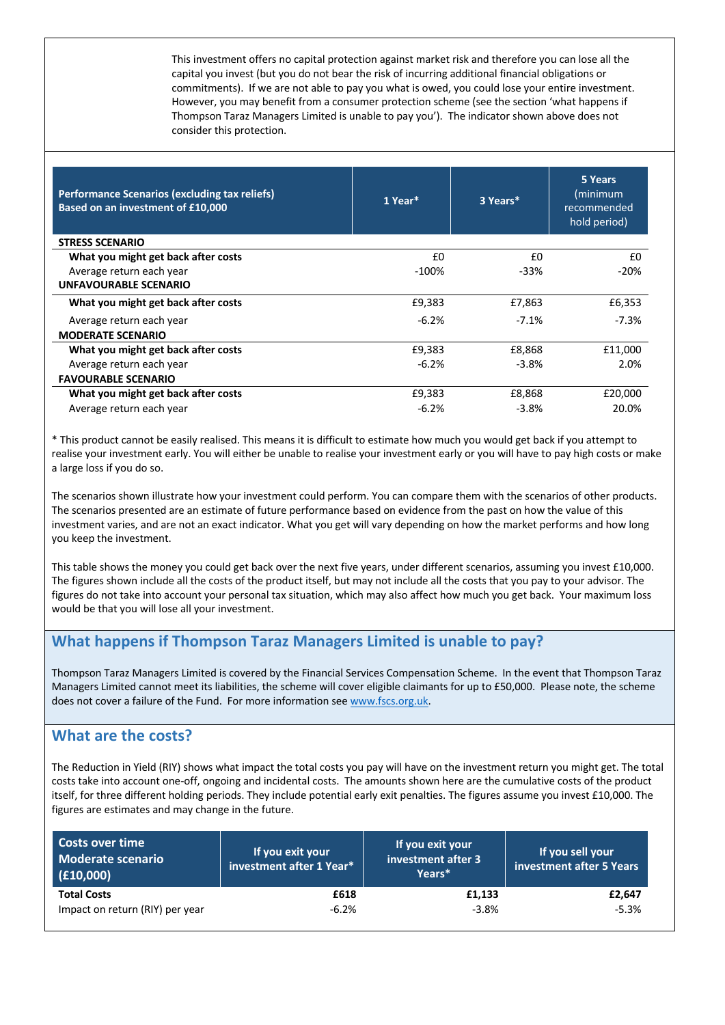This investment offers no capital protection against market risk and therefore you can lose all the capital you invest (but you do not bear the risk of incurring additional financial obligations or commitments). If we are not able to pay you what is owed, you could lose your entire investment. However, you may benefit from a consumer protection scheme (see the section 'what happens if Thompson Taraz Managers Limited is unable to pay you'). The indicator shown above does not consider this protection.

| <b>Performance Scenarios (excluding tax reliefs)</b><br>Based on an investment of £10,000 | 1 Year* | 3 Years* | 5 Years<br>(minimum<br>recommended<br>hold period) |
|-------------------------------------------------------------------------------------------|---------|----------|----------------------------------------------------|
| <b>STRESS SCENARIO</b>                                                                    |         |          |                                                    |
| What you might get back after costs                                                       | £0      | £0       | £0                                                 |
| Average return each year                                                                  | $-100%$ | $-33%$   | $-20%$                                             |
| <b>UNFAVOURABLE SCENARIO</b>                                                              |         |          |                                                    |
| What you might get back after costs                                                       | £9,383  | £7,863   | £6,353                                             |
| Average return each year                                                                  | $-6.2%$ | $-7.1\%$ | -7.3%                                              |
| <b>MODERATE SCENARIO</b>                                                                  |         |          |                                                    |
| What you might get back after costs                                                       | £9,383  | £8,868   | £11,000                                            |
| Average return each year                                                                  | $-6.2%$ | $-3.8\%$ | 2.0%                                               |
| <b>FAVOURABLE SCENARIO</b>                                                                |         |          |                                                    |
| What you might get back after costs                                                       | £9,383  | £8,868   | £20,000                                            |
| Average return each year                                                                  | $-6.2%$ | $-3.8%$  | 20.0%                                              |

\* This product cannot be easily realised. This means it is difficult to estimate how much you would get back if you attempt to realise your investment early. You will either be unable to realise your investment early or you will have to pay high costs or make a large loss if you do so.

The scenarios shown illustrate how your investment could perform. You can compare them with the scenarios of other products. The scenarios presented are an estimate of future performance based on evidence from the past on how the value of this investment varies, and are not an exact indicator. What you get will vary depending on how the market performs and how long you keep the investment.

This table shows the money you could get back over the next five years, under different scenarios, assuming you invest £10,000. The figures shown include all the costs of the product itself, but may not include all the costs that you pay to your advisor. The figures do not take into account your personal tax situation, which may also affect how much you get back. Your maximum loss would be that you will lose all your investment.

# **What happens if Thompson Taraz Managers Limited is unable to pay?**

Thompson Taraz Managers Limited is covered by the Financial Services Compensation Scheme. In the event that Thompson Taraz Managers Limited cannot meet its liabilities, the scheme will cover eligible claimants for up to £50,000. Please note, the scheme does not cover a failure of the Fund. For more information see www.fscs.org.uk.

### **What are the costs?**

The Reduction in Yield (RIY) shows what impact the total costs you pay will have on the investment return you might get. The total costs take into account one-off, ongoing and incidental costs. The amounts shown here are the cumulative costs of the product itself, for three different holding periods. They include potential early exit penalties. The figures assume you invest £10,000. The figures are estimates and may change in the future.

| Costs over time<br><b>Moderate scenario</b><br>(f10,000) | If you exit your<br>investment after 1 Year* | If you exit your<br>investment after 3<br>Years* | If you sell your<br>investment after 5 Years |
|----------------------------------------------------------|----------------------------------------------|--------------------------------------------------|----------------------------------------------|
| <b>Total Costs</b>                                       | £618                                         | £1,133                                           | £2,647                                       |
| Impact on return (RIY) per year                          | $-6.2%$                                      | $-3.8%$                                          | $-5.3%$                                      |